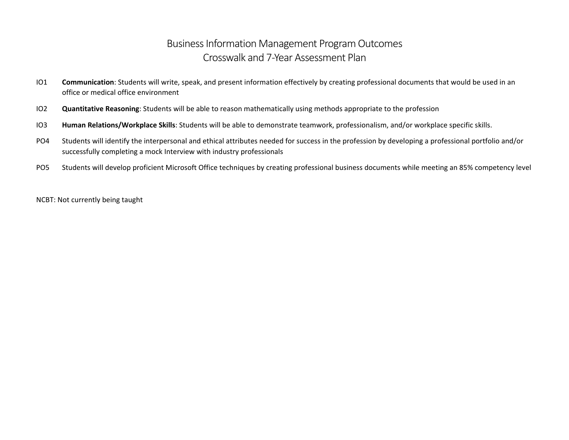## Business Information Management Program Outcomes Crosswalk and 7-Year Assessment Plan

- IO1 **Communication**: Students will write, speak, and present information effectively by creating professional documents that would be used in an office or medical office environment
- IO2 **Quantitative Reasoning**: Students will be able to reason mathematically using methods appropriate to the profession
- IO3 **Human Relations/Workplace Skills**: Students will be able to demonstrate teamwork, professionalism, and/or workplace specific skills.
- PO4 Students will identify the interpersonal and ethical attributes needed for success in the profession by developing a professional portfolio and/or successfully completing a mock Interview with industry professionals
- PO5 Students will develop proficient Microsoft Office techniques by creating professional business documents while meeting an 85% competency level

NCBT: Not currently being taught